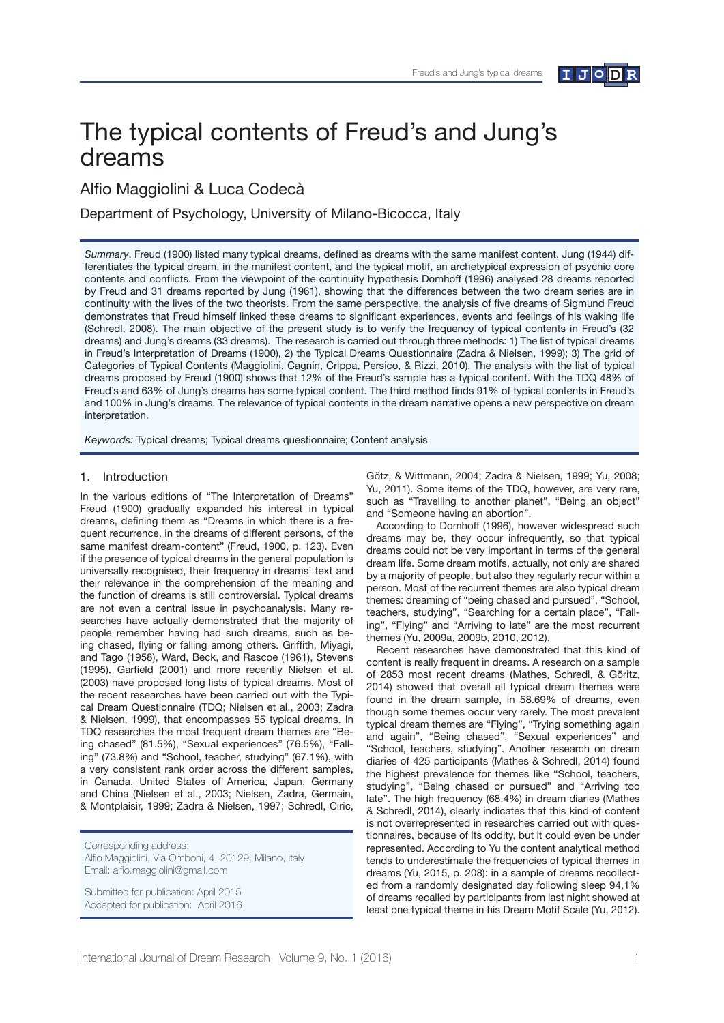

# The typical contents of Freud's and Jung's dreams

Alfio Maggiolini & Luca Codecà

Department of Psychology, University of Milano-Bicocca, Italy

*Summary*. Freud (1900) listed many typical dreams, defned as dreams with the same manifest content. Jung (1944) differentiates the typical dream, in the manifest content, and the typical motif, an archetypical expression of psychic core contents and conficts. From the viewpoint of the continuity hypothesis Domhoff (1996) analysed 28 dreams reported by Freud and 31 dreams reported by Jung (1961), showing that the differences between the two dream series are in continuity with the lives of the two theorists. From the same perspective, the analysis of fve dreams of Sigmund Freud demonstrates that Freud himself linked these dreams to signifcant experiences, events and feelings of his waking life (Schredl, 2008). The main objective of the present study is to verify the frequency of typical contents in Freud's (32 dreams) and Jung's dreams (33 dreams). The research is carried out through three methods: 1) The list of typical dreams in Freud's Interpretation of Dreams (1900), 2) the Typical Dreams Questionnaire (Zadra & Nielsen, 1999); 3) The grid of Categories of Typical Contents (Maggiolini, Cagnin, Crippa, Persico, & Rizzi, 2010). The analysis with the list of typical dreams proposed by Freud (1900) shows that 12% of the Freud's sample has a typical content. With the TDQ 48% of Freud's and 63% of Jung's dreams has some typical content. The third method fnds 91% of typical contents in Freud's and 100% in Jung's dreams. The relevance of typical contents in the dream narrative opens a new perspective on dream interpretation.

*Keywords:* Typical dreams; Typical dreams questionnaire; Content analysis

## 1. Introduction

In the various editions of "The Interpretation of Dreams" Freud (1900) gradually expanded his interest in typical dreams, defining them as "Dreams in which there is a frequent recurrence, in the dreams of different persons, of the same manifest dream-content" (Freud, 1900, p. 123). Even if the presence of typical dreams in the general population is universally recognised, their frequency in dreams' text and their relevance in the comprehension of the meaning and the function of dreams is still controversial. Typical dreams are not even a central issue in psychoanalysis. Many researches have actually demonstrated that the majority of people remember having had such dreams, such as being chased, flying or falling among others. Griffith, Miyagi, and Tago (1958), Ward, Beck, and Rascoe (1961), Stevens (1995), Garfield (2001) and more recently Nielsen et al. (2003) have proposed long lists of typical dreams. Most of the recent researches have been carried out with the Typical Dream Questionnaire (TDQ; Nielsen et al., 2003; Zadra & Nielsen, 1999), that encompasses 55 typical dreams. In TDQ researches the most frequent dream themes are "Being chased" (81.5%), "Sexual experiences" (76.5%), "Falling" (73.8%) and "School, teacher, studying" (67.1%), with a very consistent rank order across the different samples, in Canada, United States of America, Japan, Germany and China (Nielsen et al., 2003; Nielsen, Zadra, Germain, & Montplaisir, 1999; Zadra & Nielsen, 1997; Schredl, Ciric,

Corresponding address:

Alfio Maggiolini, Via Omboni, 4, 20129, Milano, Italy Email: alfo.maggiolini@gmail.com

Submitted for publication: April 2015 Accepted for publication: April 2016

Götz, & Wittmann, 2004; Zadra & Nielsen, 1999; Yu, 2008; Yu, 2011). Some items of the TDQ, however, are very rare, such as "Travelling to another planet", "Being an object" and "Someone having an abortion".

According to Domhoff (1996), however widespread such dreams may be, they occur infrequently, so that typical dreams could not be very important in terms of the general dream life. Some dream motifs, actually, not only are shared by a majority of people, but also they regularly recur within a person. Most of the recurrent themes are also typical dream themes: dreaming of "being chased and pursued", "School, teachers, studying", "Searching for a certain place", "Falling", "Flying" and "Arriving to late" are the most recurrent themes (Yu, 2009a, 2009b, 2010, 2012).

Recent researches have demonstrated that this kind of content is really frequent in dreams. A research on a sample of 2853 most recent dreams (Mathes, Schredl, & Göritz, 2014) showed that overall all typical dream themes were found in the dream sample, in 58.69% of dreams, even though some themes occur very rarely. The most prevalent typical dream themes are "Flying", "Trying something again and again", "Being chased", "Sexual experiences" and "School, teachers, studying". Another research on dream diaries of 425 participants (Mathes & Schredl, 2014) found the highest prevalence for themes like "School, teachers, studying", "Being chased or pursued" and "Arriving too late". The high frequency (68.4%) in dream diaries (Mathes & Schredl, 2014), clearly indicates that this kind of content is not overrepresented in researches carried out with questionnaires, because of its oddity, but it could even be under represented. According to Yu the content analytical method tends to underestimate the frequencies of typical themes in dreams (Yu, 2015, p. 208): in a sample of dreams recollected from a randomly designated day following sleep 94,1% of dreams recalled by participants from last night showed at least one typical theme in his Dream Motif Scale (Yu, 2012).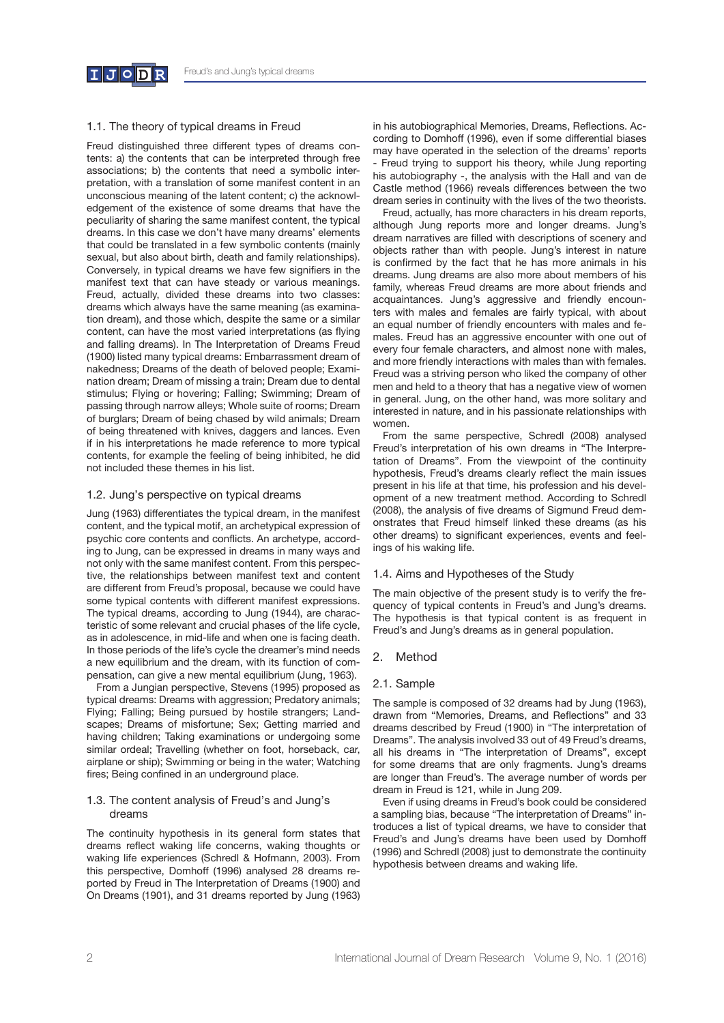

# 1.1. The theory of typical dreams in Freud

Freud distinguished three different types of dreams contents: a) the contents that can be interpreted through free associations; b) the contents that need a symbolic interpretation, with a translation of some manifest content in an unconscious meaning of the latent content; c) the acknowledgement of the existence of some dreams that have the peculiarity of sharing the same manifest content, the typical dreams. In this case we don't have many dreams' elements that could be translated in a few symbolic contents (mainly sexual, but also about birth, death and family relationships). Conversely, in typical dreams we have few signifers in the manifest text that can have steady or various meanings. Freud, actually, divided these dreams into two classes: dreams which always have the same meaning (as examination dream), and those which, despite the same or a similar content, can have the most varied interpretations (as fying and falling dreams). In The Interpretation of Dreams Freud (1900) listed many typical dreams: Embarrassment dream of nakedness; Dreams of the death of beloved people; Examination dream; Dream of missing a train; Dream due to dental stimulus; Flying or hovering; Falling; Swimming; Dream of passing through narrow alleys; Whole suite of rooms; Dream of burglars; Dream of being chased by wild animals; Dream of being threatened with knives, daggers and lances. Even if in his interpretations he made reference to more typical contents, for example the feeling of being inhibited, he did not included these themes in his list.

#### 1.2. Jung's perspective on typical dreams

Jung (1963) differentiates the typical dream, in the manifest content, and the typical motif, an archetypical expression of psychic core contents and conficts. An archetype, according to Jung, can be expressed in dreams in many ways and not only with the same manifest content. From this perspective, the relationships between manifest text and content are different from Freud's proposal, because we could have some typical contents with different manifest expressions. The typical dreams, according to Jung (1944), are characteristic of some relevant and crucial phases of the life cycle, as in adolescence, in mid-life and when one is facing death. In those periods of the life's cycle the dreamer's mind needs a new equilibrium and the dream, with its function of compensation, can give a new mental equilibrium (Jung, 1963).

From a Jungian perspective, Stevens (1995) proposed as typical dreams: Dreams with aggression; Predatory animals; Flying; Falling; Being pursued by hostile strangers; Landscapes; Dreams of misfortune; Sex; Getting married and having children; Taking examinations or undergoing some similar ordeal; Travelling (whether on foot, horseback, car, airplane or ship); Swimming or being in the water; Watching fires; Being confined in an underground place.

## 1.3. The content analysis of Freud's and Jung's dreams

The continuity hypothesis in its general form states that dreams refect waking life concerns, waking thoughts or waking life experiences (Schredl & Hofmann, 2003). From this perspective, Domhoff (1996) analysed 28 dreams reported by Freud in The Interpretation of Dreams (1900) and On Dreams (1901), and 31 dreams reported by Jung (1963) in his autobiographical Memories, Dreams, Refections. According to Domhoff (1996), even if some differential biases may have operated in the selection of the dreams' reports - Freud trying to support his theory, while Jung reporting his autobiography -, the analysis with the Hall and van de Castle method (1966) reveals differences between the two dream series in continuity with the lives of the two theorists.

Freud, actually, has more characters in his dream reports, although Jung reports more and longer dreams. Jung's dream narratives are flled with descriptions of scenery and objects rather than with people. Jung's interest in nature is confrmed by the fact that he has more animals in his dreams. Jung dreams are also more about members of his family, whereas Freud dreams are more about friends and acquaintances. Jung's aggressive and friendly encounters with males and females are fairly typical, with about an equal number of friendly encounters with males and females. Freud has an aggressive encounter with one out of every four female characters, and almost none with males, and more friendly interactions with males than with females. Freud was a striving person who liked the company of other men and held to a theory that has a negative view of women in general. Jung, on the other hand, was more solitary and interested in nature, and in his passionate relationships with women.

From the same perspective, Schredl (2008) analysed Freud's interpretation of his own dreams in "The Interpretation of Dreams". From the viewpoint of the continuity hypothesis, Freud's dreams clearly reflect the main issues present in his life at that time, his profession and his development of a new treatment method. According to Schredl (2008), the analysis of five dreams of Sigmund Freud demonstrates that Freud himself linked these dreams (as his other dreams) to significant experiences, events and feelings of his waking life.

#### 1.4. Aims and Hypotheses of the Study

The main objective of the present study is to verify the frequency of typical contents in Freud's and Jung's dreams. The hypothesis is that typical content is as frequent in Freud's and Jung's dreams as in general population.

#### 2. Method

## 2.1. Sample

The sample is composed of 32 dreams had by Jung (1963), drawn from "Memories, Dreams, and Refections" and 33 dreams described by Freud (1900) in "The interpretation of Dreams". The analysis involved 33 out of 49 Freud's dreams, all his dreams in "The interpretation of Dreams", except for some dreams that are only fragments. Jung's dreams are longer than Freud's. The average number of words per dream in Freud is 121, while in Jung 209.

Even if using dreams in Freud's book could be considered a sampling bias, because "The interpretation of Dreams" introduces a list of typical dreams, we have to consider that Freud's and Jung's dreams have been used by Domhoff (1996) and Schredl (2008) just to demonstrate the continuity hypothesis between dreams and waking life.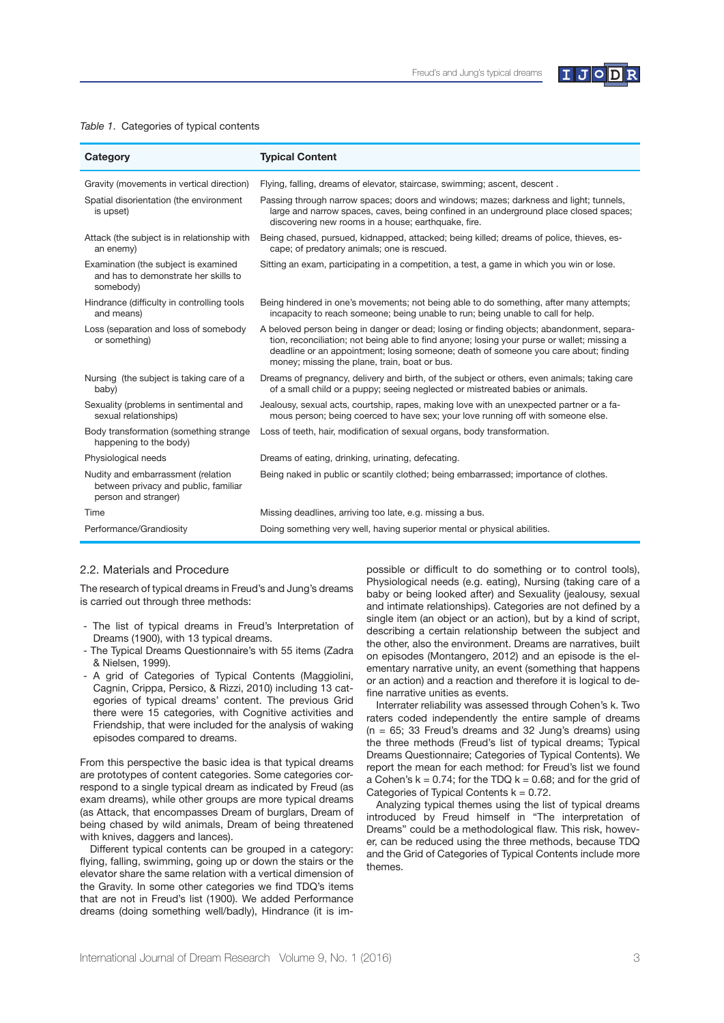

#### *Table 1*. Categories of typical contents

| Category                                                                                           | <b>Typical Content</b>                                                                                                                                                                                                                                                                                                            |
|----------------------------------------------------------------------------------------------------|-----------------------------------------------------------------------------------------------------------------------------------------------------------------------------------------------------------------------------------------------------------------------------------------------------------------------------------|
| Gravity (movements in vertical direction)                                                          | Flying, falling, dreams of elevator, staircase, swimming; ascent, descent.                                                                                                                                                                                                                                                        |
| Spatial disorientation (the environment<br>is upset)                                               | Passing through narrow spaces; doors and windows; mazes; darkness and light; tunnels,<br>large and narrow spaces, caves, being confined in an underground place closed spaces;<br>discovering new rooms in a house; earthquake, fire.                                                                                             |
| Attack (the subject is in relationship with<br>an enemy)                                           | Being chased, pursued, kidnapped, attacked; being killed; dreams of police, thieves, es-<br>cape; of predatory animals; one is rescued.                                                                                                                                                                                           |
| Examination (the subject is examined<br>and has to demonstrate her skills to<br>somebody)          | Sitting an exam, participating in a competition, a test, a game in which you win or lose.                                                                                                                                                                                                                                         |
| Hindrance (difficulty in controlling tools<br>and means)                                           | Being hindered in one's movements; not being able to do something, after many attempts;<br>incapacity to reach someone; being unable to run; being unable to call for help.                                                                                                                                                       |
| Loss (separation and loss of somebody<br>or something)                                             | A beloved person being in danger or dead; losing or finding objects; abandonment, separa-<br>tion, reconciliation; not being able to find anyone; losing your purse or wallet; missing a<br>deadline or an appointment; losing someone; death of someone you care about; finding<br>money; missing the plane, train, boat or bus. |
| Nursing (the subject is taking care of a<br>baby)                                                  | Dreams of pregnancy, delivery and birth, of the subject or others, even animals; taking care<br>of a small child or a puppy; seeing neglected or mistreated babies or animals.                                                                                                                                                    |
| Sexuality (problems in sentimental and<br>sexual relationships)                                    | Jealousy, sexual acts, courtship, rapes, making love with an unexpected partner or a fa-<br>mous person; being coerced to have sex; your love running off with someone else.                                                                                                                                                      |
| Body transformation (something strange)<br>happening to the body)                                  | Loss of teeth, hair, modification of sexual organs, body transformation.                                                                                                                                                                                                                                                          |
| Physiological needs                                                                                | Dreams of eating, drinking, urinating, defecating.                                                                                                                                                                                                                                                                                |
| Nudity and embarrassment (relation<br>between privacy and public, familiar<br>person and stranger) | Being naked in public or scantily clothed; being embarrassed; importance of clothes.                                                                                                                                                                                                                                              |
| Time                                                                                               | Missing deadlines, arriving too late, e.g. missing a bus.                                                                                                                                                                                                                                                                         |
| Performance/Grandiosity                                                                            | Doing something very well, having superior mental or physical abilities.                                                                                                                                                                                                                                                          |

## 2.2. Materials and Procedure

The research of typical dreams in Freud's and Jung's dreams is carried out through three methods:

- The list of typical dreams in Freud's Interpretation of Dreams (1900), with 13 typical dreams.
- The Typical Dreams Questionnaire's with 55 items (Zadra & Nielsen, 1999).
- A grid of Categories of Typical Contents (Maggiolini, Cagnin, Crippa, Persico, & Rizzi, 2010) including 13 categories of typical dreams' content. The previous Grid there were 15 categories, with Cognitive activities and Friendship, that were included for the analysis of waking episodes compared to dreams.

From this perspective the basic idea is that typical dreams are prototypes of content categories. Some categories correspond to a single typical dream as indicated by Freud (as exam dreams), while other groups are more typical dreams (as Attack, that encompasses Dream of burglars, Dream of being chased by wild animals, Dream of being threatened with knives, daggers and lances).

Different typical contents can be grouped in a category: fying, falling, swimming, going up or down the stairs or the elevator share the same relation with a vertical dimension of the Gravity. In some other categories we fnd TDQ's items that are not in Freud's list (1900). We added Performance dreams (doing something well/badly), Hindrance (it is impossible or difficult to do something or to control tools), Physiological needs (e.g. eating), Nursing (taking care of a baby or being looked after) and Sexuality (jealousy, sexual and intimate relationships). Categories are not defned by a single item (an object or an action), but by a kind of script, describing a certain relationship between the subject and the other, also the environment. Dreams are narratives, built on episodes (Montangero, 2012) and an episode is the elementary narrative unity, an event (something that happens or an action) and a reaction and therefore it is logical to define narrative unities as events.

Interrater reliability was assessed through Cohen's k. Two raters coded independently the entire sample of dreams  $(n = 65; 33$  Freud's dreams and 32 Jung's dreams) using the three methods (Freud's list of typical dreams; Typical Dreams Questionnaire; Categories of Typical Contents). We report the mean for each method: for Freud's list we found a Cohen's  $k = 0.74$ ; for the TDQ  $k = 0.68$ ; and for the grid of Categories of Typical Contents  $k = 0.72$ .

Analyzing typical themes using the list of typical dreams introduced by Freud himself in "The interpretation of Dreams" could be a methodological flaw. This risk, however, can be reduced using the three methods, because TDQ and the Grid of Categories of Typical Contents include more themes.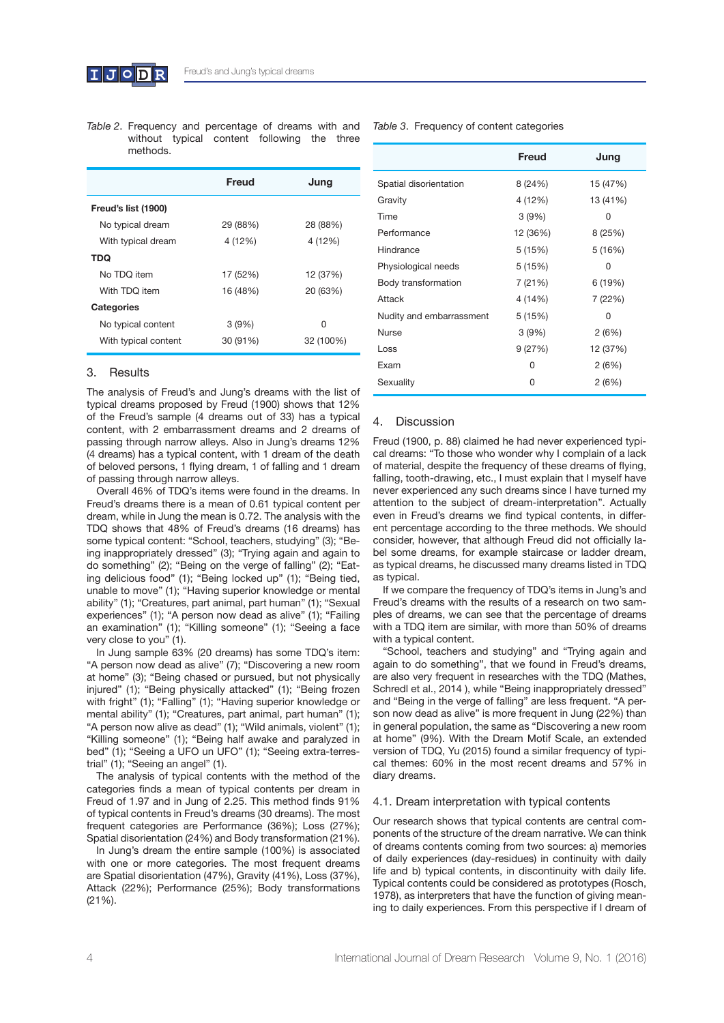

*Table 2*. Frequency and percentage of dreams with and without typical content following the three methods.

| Freud    | Jung      |
|----------|-----------|
|          |           |
| 29 (88%) | 28 (88%)  |
| 4 (12%)  | 4 (12%)   |
|          |           |
| 17 (52%) | 12 (37%)  |
| 16 (48%) | 20 (63%)  |
|          |           |
| 3(9%)    | O         |
| 30 (91%) | 32 (100%) |
|          |           |

#### 3. Results

The analysis of Freud's and Jung's dreams with the list of typical dreams proposed by Freud (1900) shows that 12% of the Freud's sample (4 dreams out of 33) has a typical content, with 2 embarrassment dreams and 2 dreams of passing through narrow alleys. Also in Jung's dreams 12% (4 dreams) has a typical content, with 1 dream of the death of beloved persons, 1 fying dream, 1 of falling and 1 dream of passing through narrow alleys.

Overall 46% of TDQ's items were found in the dreams. In Freud's dreams there is a mean of 0.61 typical content per dream, while in Jung the mean is 0.72. The analysis with the TDQ shows that 48% of Freud's dreams (16 dreams) has some typical content: "School, teachers, studying" (3); "Being inappropriately dressed" (3); "Trying again and again to do something" (2); "Being on the verge of falling" (2); "Eating delicious food" (1); "Being locked up" (1); "Being tied, unable to move" (1); "Having superior knowledge or mental ability" (1); "Creatures, part animal, part human" (1); "Sexual experiences" (1); "A person now dead as alive" (1); "Failing an examination" (1); "Killing someone" (1); "Seeing a face very close to you" (1).

In Jung sample 63% (20 dreams) has some TDQ's item: "A person now dead as alive" (7); "Discovering a new room at home" (3); "Being chased or pursued, but not physically injured" (1); "Being physically attacked" (1); "Being frozen with fright" (1); "Falling" (1); "Having superior knowledge or mental ability" (1); "Creatures, part animal, part human" (1); "A person now alive as dead" (1); "Wild animals, violent" (1); "Killing someone" (1); "Being half awake and paralyzed in bed" (1); "Seeing a UFO un UFO" (1); "Seeing extra-terrestrial" (1); "Seeing an angel" (1).

The analysis of typical contents with the method of the categories fnds a mean of typical contents per dream in Freud of 1.97 and in Jung of 2.25. This method finds 91% of typical contents in Freud's dreams (30 dreams). The most frequent categories are Performance (36%); Loss (27%); Spatial disorientation (24%) and Body transformation (21%).

In Jung's dream the entire sample (100%) is associated with one or more categories. The most frequent dreams are Spatial disorientation (47%), Gravity (41%), Loss (37%), Attack (22%); Performance (25%); Body transformations (21%).

*Table 3*. Frequency of content categories

|                          | Freud    | Jung     |
|--------------------------|----------|----------|
| Spatial disorientation   | 8 (24%)  | 15 (47%) |
| Gravity                  | 4 (12%)  | 13 (41%) |
| Time                     | 3(9%)    | 0        |
| Performance              | 12 (36%) | 8 (25%)  |
| Hindrance                | 5 (15%)  | 5 (16%)  |
| Physiological needs      | 5(15%)   | O        |
| Body transformation      | 7 (21%)  | 6 (19%)  |
| Attack                   | 4 (14%)  | 7 (22%)  |
| Nudity and embarrassment | 5(15%)   | 0        |
| <b>Nurse</b>             | 3(9%)    | 2(6%)    |
| Loss                     | 9(27%)   | 12 (37%) |
| Exam                     | O        | 2(6%)    |
| Sexuality                | U        | 2(6%)    |

## 4. Discussion

Freud (1900, p. 88) claimed he had never experienced typical dreams: "To those who wonder why I complain of a lack of material, despite the frequency of these dreams of fying, falling, tooth-drawing, etc., I must explain that I myself have never experienced any such dreams since I have turned my attention to the subject of dream-interpretation". Actually even in Freud's dreams we fnd typical contents, in different percentage according to the three methods. We should consider, however, that although Freud did not officially label some dreams, for example staircase or ladder dream, as typical dreams, he discussed many dreams listed in TDQ as typical.

If we compare the frequency of TDQ's items in Jung's and Freud's dreams with the results of a research on two samples of dreams, we can see that the percentage of dreams with a TDQ item are similar, with more than 50% of dreams with a typical content.

"School, teachers and studying" and "Trying again and again to do something", that we found in Freud's dreams, are also very frequent in researches with the TDQ (Mathes, Schredl et al., 2014 ), while "Being inappropriately dressed" and "Being in the verge of falling" are less frequent. "A person now dead as alive" is more frequent in Jung (22%) than in general population, the same as "Discovering a new room at home" (9%). With the Dream Motif Scale, an extended version of TDQ, Yu (2015) found a similar frequency of typical themes: 60% in the most recent dreams and 57% in diary dreams.

#### 4.1. Dream interpretation with typical contents

Our research shows that typical contents are central components of the structure of the dream narrative. We can think of dreams contents coming from two sources: a) memories of daily experiences (day-residues) in continuity with daily life and b) typical contents, in discontinuity with daily life. Typical contents could be considered as prototypes (Rosch, 1978), as interpreters that have the function of giving meaning to daily experiences. From this perspective if I dream of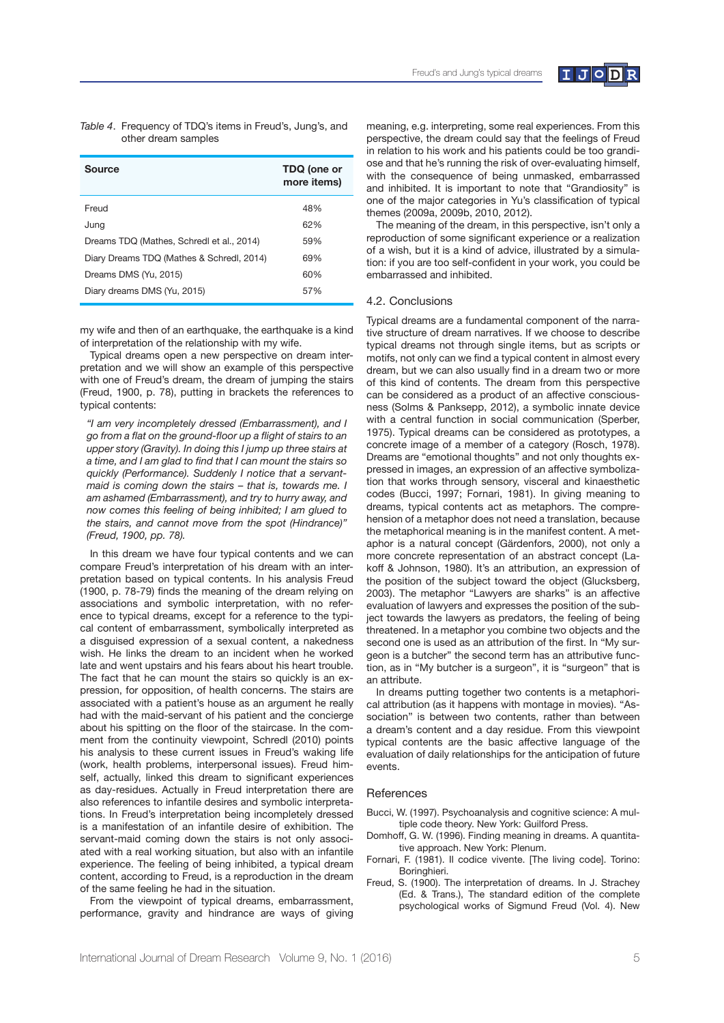

| Table 4. Frequency of TDQ's items in Freud's, Jung's, and |
|-----------------------------------------------------------|
| other dream samples                                       |

| Source                                    | TDQ (one or<br>more items) |
|-------------------------------------------|----------------------------|
| Freud                                     | 48%                        |
| Juna                                      | 62%                        |
| Dreams TDQ (Mathes, Schredl et al., 2014) | 59%                        |
| Diary Dreams TDQ (Mathes & Schredl, 2014) | 69%                        |
| Dreams DMS (Yu, 2015)                     | 60%                        |
| Diary dreams DMS (Yu, 2015)               | 57%                        |

my wife and then of an earthquake, the earthquake is a kind of interpretation of the relationship with my wife.

Typical dreams open a new perspective on dream interpretation and we will show an example of this perspective with one of Freud's dream, the dream of jumping the stairs (Freud, 1900, p. 78), putting in brackets the references to typical contents:

*"I am very incompletely dressed (Embarrassment), and I go from a fat on the ground-foor up a fight of stairs to an upper story (Gravity). In doing this I jump up three stairs at a time, and I am glad to fnd that I can mount the stairs so quickly (Performance). Suddenly I notice that a servantmaid is coming down the stairs – that is, towards me. I am ashamed (Embarrassment), and try to hurry away, and now comes this feeling of being inhibited; I am glued to the stairs, and cannot move from the spot (Hindrance)" (Freud, 1900, pp. 78).*

In this dream we have four typical contents and we can compare Freud's interpretation of his dream with an interpretation based on typical contents. In his analysis Freud (1900, p. 78-79) fnds the meaning of the dream relying on associations and symbolic interpretation, with no reference to typical dreams, except for a reference to the typical content of embarrassment, symbolically interpreted as a disguised expression of a sexual content, a nakedness wish. He links the dream to an incident when he worked late and went upstairs and his fears about his heart trouble. The fact that he can mount the stairs so quickly is an expression, for opposition, of health concerns. The stairs are associated with a patient's house as an argument he really had with the maid-servant of his patient and the concierge about his spitting on the floor of the staircase. In the comment from the continuity viewpoint, Schredl (2010) points his analysis to these current issues in Freud's waking life (work, health problems, interpersonal issues). Freud himself, actually, linked this dream to significant experiences as day-residues. Actually in Freud interpretation there are also references to infantile desires and symbolic interpretations. In Freud's interpretation being incompletely dressed is a manifestation of an infantile desire of exhibition. The servant-maid coming down the stairs is not only associated with a real working situation, but also with an infantile experience. The feeling of being inhibited, a typical dream content, according to Freud, is a reproduction in the dream of the same feeling he had in the situation.

From the viewpoint of typical dreams, embarrassment, performance, gravity and hindrance are ways of giving

meaning, e.g. interpreting, some real experiences. From this perspective, the dream could say that the feelings of Freud in relation to his work and his patients could be too grandiose and that he's running the risk of over-evaluating himself, with the consequence of being unmasked, embarrassed and inhibited. It is important to note that "Grandiosity" is one of the major categories in Yu's classifcation of typical themes (2009a, 2009b, 2010, 2012).

The meaning of the dream, in this perspective, isn't only a reproduction of some significant experience or a realization of a wish, but it is a kind of advice, illustrated by a simulation: if you are too self-confdent in your work, you could be embarrassed and inhibited.

## 4.2. Conclusions

Typical dreams are a fundamental component of the narrative structure of dream narratives. If we choose to describe typical dreams not through single items, but as scripts or motifs, not only can we find a typical content in almost every dream, but we can also usually find in a dream two or more of this kind of contents. The dream from this perspective can be considered as a product of an affective consciousness (Solms & Panksepp, 2012), a symbolic innate device with a central function in social communication (Sperber, 1975). Typical dreams can be considered as prototypes, a concrete image of a member of a category (Rosch, 1978). Dreams are "emotional thoughts" and not only thoughts expressed in images, an expression of an affective symbolization that works through sensory, visceral and kinaesthetic codes (Bucci, 1997; Fornari, 1981). In giving meaning to dreams, typical contents act as metaphors. The comprehension of a metaphor does not need a translation, because the metaphorical meaning is in the manifest content. A metaphor is a natural concept (Gärdenfors, 2000), not only a more concrete representation of an abstract concept (Lakoff & Johnson, 1980). It's an attribution, an expression of the position of the subject toward the object (Glucksberg, 2003). The metaphor "Lawyers are sharks" is an affective evaluation of lawyers and expresses the position of the subject towards the lawyers as predators, the feeling of being threatened. In a metaphor you combine two objects and the second one is used as an attribution of the first. In "My surgeon is a butcher" the second term has an attributive function, as in "My butcher is a surgeon", it is "surgeon" that is an attribute.

In dreams putting together two contents is a metaphorical attribution (as it happens with montage in movies). "Association" is between two contents, rather than between a dream's content and a day residue. From this viewpoint typical contents are the basic affective language of the evaluation of daily relationships for the anticipation of future events.

#### References

- Bucci, W. (1997). Psychoanalysis and cognitive science: A multiple code theory. New York: Guilford Press.
- Domhoff, G. W. (1996). Finding meaning in dreams. A quantitative approach. New York: Plenum.
- Fornari, F. (1981). Il codice vivente. [The living code]. Torino: Boringhieri.
- Freud, S. (1900). The interpretation of dreams. In J. Strachey (Ed. & Trans.), The standard edition of the complete psychological works of Sigmund Freud (Vol. 4). New